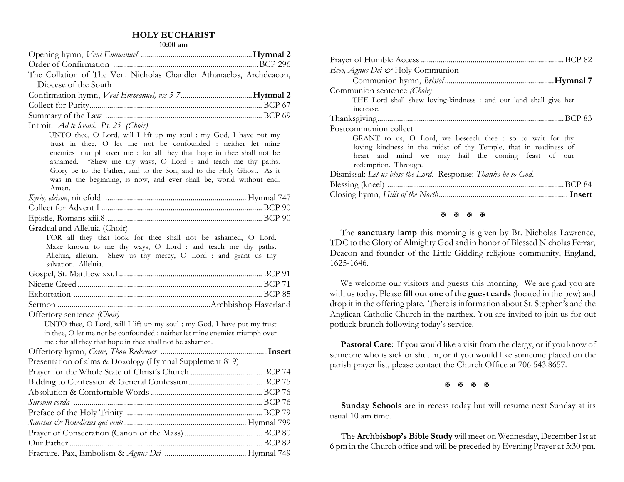#### **HOLY EUCHARIST**

**10:00 am**

| The Collation of The Ven. Nicholas Chandler Athanaelos, Archdeacon,                                                                  |  |
|--------------------------------------------------------------------------------------------------------------------------------------|--|
| Diocese of the South                                                                                                                 |  |
|                                                                                                                                      |  |
|                                                                                                                                      |  |
|                                                                                                                                      |  |
| Introit. Ad te levavi. Ps. 25 (Choir)                                                                                                |  |
| UNTO thee, O Lord, will I lift up my soul : my God, I have put my                                                                    |  |
| trust in thee, O let me not be confounded : neither let mine                                                                         |  |
| enemies triumph over me : for all they that hope in thee shall not be                                                                |  |
| ashamed. *Shew me thy ways, O Lord : and teach me thy paths.<br>Glory be to the Father, and to the Son, and to the Holy Ghost. As it |  |
| was in the beginning, is now, and ever shall be, world without end.                                                                  |  |
| Amen.                                                                                                                                |  |
|                                                                                                                                      |  |
|                                                                                                                                      |  |
|                                                                                                                                      |  |
| Gradual and Alleluia (Choir)                                                                                                         |  |
| FOR all they that look for thee shall not be ashamed, O Lord.                                                                        |  |
| Make known to me thy ways, O Lord : and teach me thy paths.                                                                          |  |
| Alleluia, alleluia. Shew us thy mercy, O Lord : and grant us thy                                                                     |  |
| salvation. Alleluia.                                                                                                                 |  |
|                                                                                                                                      |  |
|                                                                                                                                      |  |
|                                                                                                                                      |  |
| Offertory sentence <i>(Choir)</i>                                                                                                    |  |
| UNTO thee, O Lord, will I lift up my soul ; my God, I have put my trust                                                              |  |
| in thee, O let me not be confounded : neither let mine enemies triumph over                                                          |  |
| me : for all they that hope in thee shall not be ashamed.                                                                            |  |
|                                                                                                                                      |  |
| Presentation of alms & Doxology (Hymnal Supplement 819)                                                                              |  |
|                                                                                                                                      |  |
|                                                                                                                                      |  |
|                                                                                                                                      |  |
|                                                                                                                                      |  |
|                                                                                                                                      |  |
|                                                                                                                                      |  |
|                                                                                                                                      |  |
|                                                                                                                                      |  |
|                                                                                                                                      |  |

| Ecee, Agnus Dei & Holy Communion                                  |
|-------------------------------------------------------------------|
|                                                                   |
| Communion sentence (Choir)                                        |
| THE Lord shall shew loving-kindness : and our land shall give her |
| increase.                                                         |
|                                                                   |
| Postcommunion collect                                             |
| GRANT to us, O Lord, we beseech thee : so to wait for thy         |
| loving kindness in the midst of thy Temple, that in readiness of  |
| heart and mind we may hail the coming feast of our                |
| redemption. Through.                                              |
| Dismissal: Let us bless the Lord. Response: Thanks be to God.     |
|                                                                   |
|                                                                   |
|                                                                   |

#### **H H H H**

The **sanctuary lamp** this morning is given by Br. Nicholas Lawrence, TDC to the Glory of Almighty God and in honor of Blessed Nicholas Ferrar, Deacon and founder of the Little Gidding religious community, England, 1625-1646.

We welcome our visitors and guests this morning. We are glad you are with us today. Please **fill out one of the guest cards** (located in the pew) and drop it in the offering plate. There is information about St. Stephen's and the Anglican Catholic Church in the narthex. You are invited to join us for out potluck brunch following today's service.

**Pastoral Care:** If you would like a visit from the clergy, or if you know of someone who is sick or shut in, or if you would like someone placed on the parish prayer list, please contact the Church Office at 706 543.8657.

**K K K K** 

 **Sunday Schools** are in recess today but will resume next Sunday at its usual 10 am time.

 The **Archbishop's Bible Study** will meet on Wednesday, December 1st at 6 pm in the Church office and will be preceded by Evening Prayer at 5:30 pm.